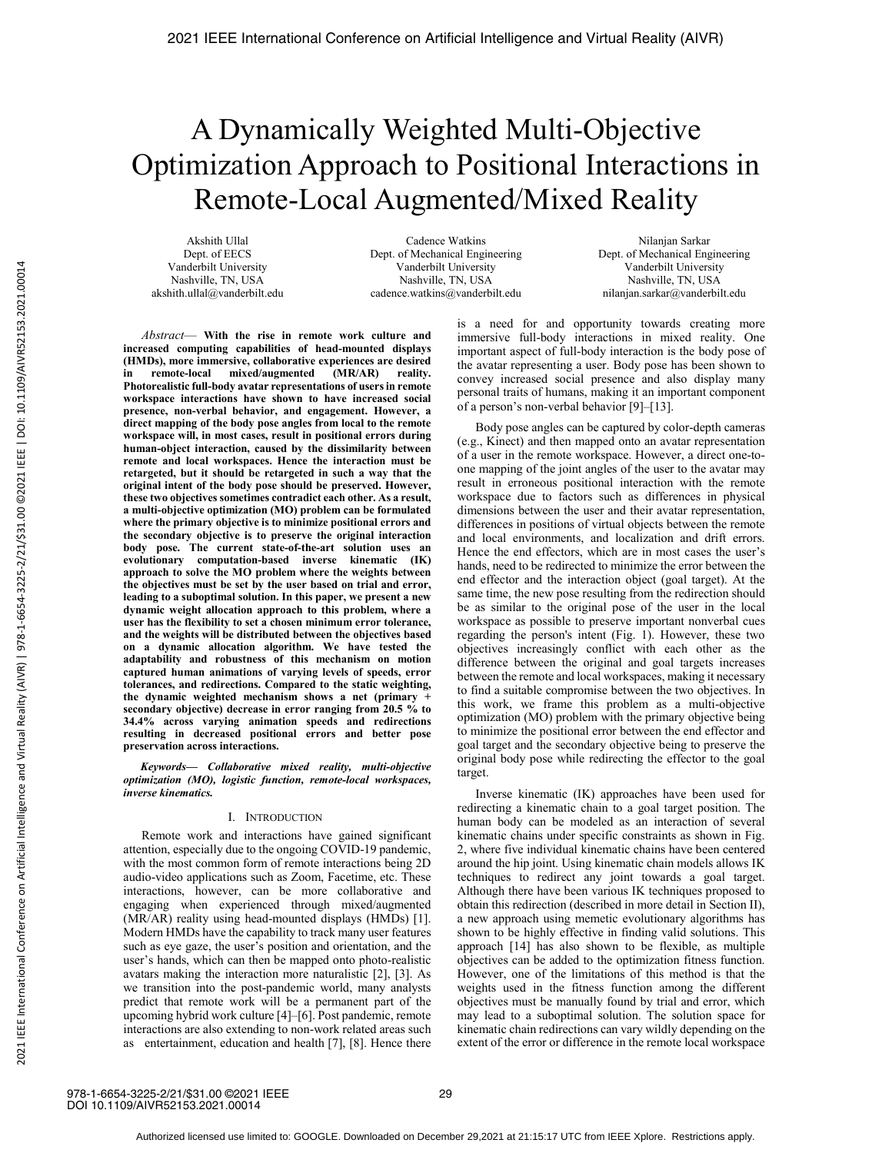# A Dynamically Weighted Multi-Objective Optimization Approach to Positional Interactions in Remote-Local Augmented/Mixed Reality

Akshith Ullal Dept. of EECS Vanderbilt University Nashville, TN, USA akshith.ullal@vanderbilt.edu

Cadence Watkins Dept. of Mechanical Engineering Vanderbilt University Nashville, TN, USA cadence.watkins@vanderbilt.edu

Nilanjan Sarkar Dept. of Mechanical Engineering Vanderbilt University Nashville, TN, USA nilanjan.sarkar@vanderbilt.edu

*Abstract*— **With the rise in remote work culture and increased computing capabilities of head-mounted displays (HMDs), more immersive, collaborative experiences are desired**  in remote-local mixed/augmented **Photorealistic full-body avatar representations of users in remote workspace interactions have shown to have increased social presence, non-verbal behavior, and engagement. However, a direct mapping of the body pose angles from local to the remote workspace will, in most cases, result in positional errors during human-object interaction, caused by the dissimilarity between remote and local workspaces. Hence the interaction must be retargeted, but it should be retargeted in such a way that the original intent of the body pose should be preserved. However, these two objectives sometimes contradict each other. As a result, a multi-objective optimization (MO) problem can be formulated where the primary objective is to minimize positional errors and the secondary objective is to preserve the original interaction body pose. The current state-of-the-art solution uses an evolutionary computation-based inverse kinematic (IK) approach to solve the MO problem where the weights between the objectives must be set by the user based on trial and error, leading to a suboptimal solution. In this paper, we present a new dynamic weight allocation approach to this problem, where a user has the flexibility to set a chosen minimum error tolerance, and the weights will be distributed between the objectives based on a dynamic allocation algorithm. We have tested the adaptability and robustness of this mechanism on motion captured human animations of varying levels of speeds, error tolerances, and redirections. Compared to the static weighting, the dynamic weighted mechanism shows a net (primary + secondary objective) decrease in error ranging from 20.5 % to 34.4% across varying animation speeds and redirections resulting in decreased positional errors and better pose preservation across interactions.** 

*Keywords— Collaborative mixed reality, multi-objective optimization (MO), logistic function, remote-local workspaces, inverse kinematics.* 

# I. INTRODUCTION

Remote work and interactions have gained significant attention, especially due to the ongoing COVID-19 pandemic, with the most common form of remote interactions being 2D audio-video applications such as Zoom, Facetime, etc. These interactions, however, can be more collaborative and engaging when experienced through mixed/augmented (MR/AR) reality using head-mounted displays (HMDs) [1]. Modern HMDs have the capability to track many user features such as eye gaze, the user's position and orientation, and the user's hands, which can then be mapped onto photo-realistic avatars making the interaction more naturalistic [2], [3]. As we transition into the post-pandemic world, many analysts predict that remote work will be a permanent part of the upcoming hybrid work culture [4]–[6]. Post pandemic, remote interactions are also extending to non-work related areas such as entertainment, education and health [7], [8]. Hence there is a need for and opportunity towards creating more immersive full-body interactions in mixed reality. One important aspect of full-body interaction is the body pose of the avatar representing a user. Body pose has been shown to convey increased social presence and also display many personal traits of humans, making it an important component of a person's non-verbal behavior [9]–[13].

Body pose angles can be captured by color-depth cameras (e.g., Kinect) and then mapped onto an avatar representation of a user in the remote workspace. However, a direct one-toone mapping of the joint angles of the user to the avatar may result in erroneous positional interaction with the remote workspace due to factors such as differences in physical dimensions between the user and their avatar representation, differences in positions of virtual objects between the remote and local environments, and localization and drift errors. Hence the end effectors, which are in most cases the user's hands, need to be redirected to minimize the error between the end effector and the interaction object (goal target). At the same time, the new pose resulting from the redirection should be as similar to the original pose of the user in the local workspace as possible to preserve important nonverbal cues regarding the person's intent (Fig. 1). However, these two objectives increasingly conflict with each other as the difference between the original and goal targets increases between the remote and local workspaces, making it necessary to find a suitable compromise between the two objectives. In this work, we frame this problem as a multi-objective optimization (MO) problem with the primary objective being to minimize the positional error between the end effector and goal target and the secondary objective being to preserve the original body pose while redirecting the effector to the goal target.

Inverse kinematic (IK) approaches have been used for redirecting a kinematic chain to a goal target position. The human body can be modeled as an interaction of several kinematic chains under specific constraints as shown in Fig. 2, where five individual kinematic chains have been centered around the hip joint. Using kinematic chain models allows IK techniques to redirect any joint towards a goal target. Although there have been various IK techniques proposed to obtain this redirection (described in more detail in Section II), a new approach using memetic evolutionary algorithms has shown to be highly effective in finding valid solutions. This approach [14] has also shown to be flexible, as multiple objectives can be added to the optimization fitness function. However, one of the limitations of this method is that the weights used in the fitness function among the different objectives must be manually found by trial and error, which may lead to a suboptimal solution. The solution space for kinematic chain redirections can vary wildly depending on the extent of the error or difference in the remote local workspace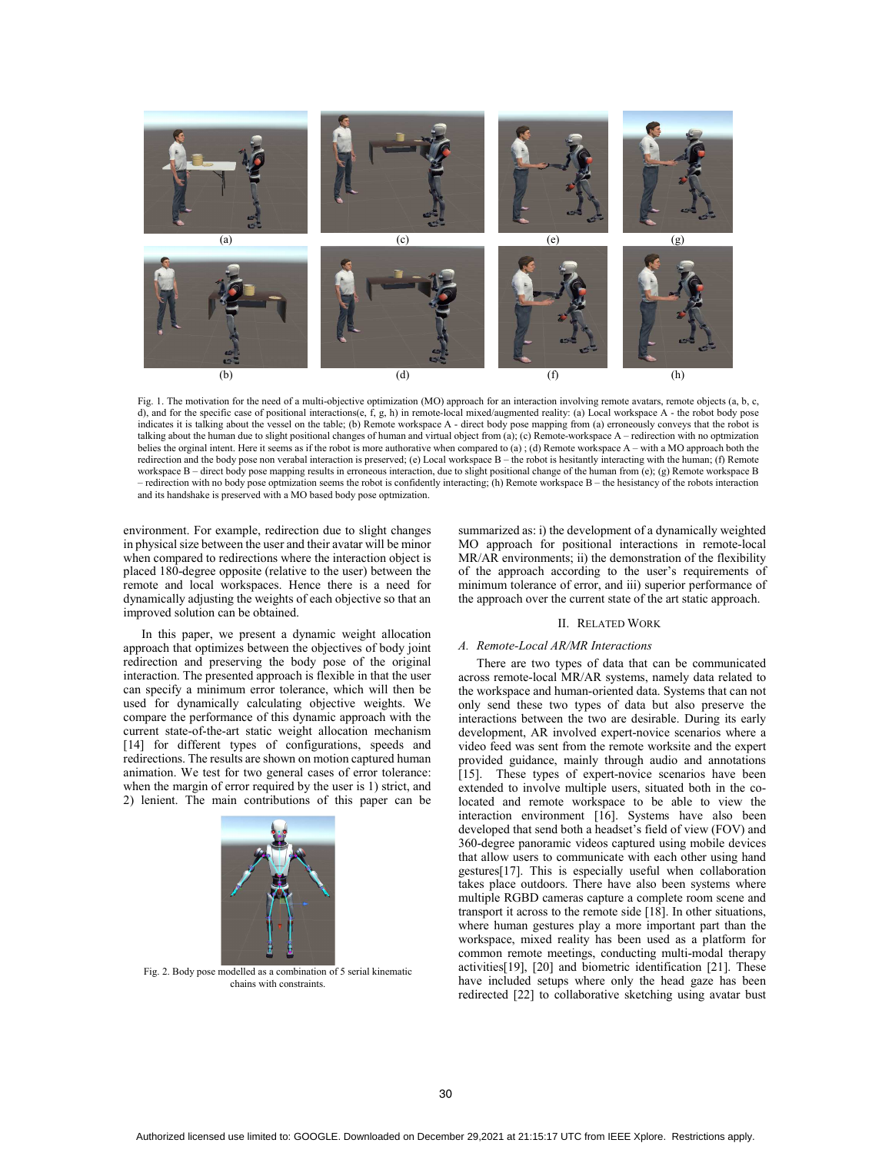

Fig. 1. The motivation for the need of a multi-objective optimization (MO) approach for an interaction involving remote avatars, remote objects (a, b, c, d), and for the specific case of positional interactions(e, f, g, h) in remote-local mixed/augmented reality: (a) Local workspace A - the robot body pose indicates it is talking about the vessel on the table; (b) Remote workspace A - direct body pose mapping from (a) erroneously conveys that the robot is talking about the human due to slight positional changes of human and virtual object from (a); (c) Remote-workspace A – redirection with no optmization belies the orginal intent. Here it seems as if the robot is more authorative when compared to (a); (d) Remote workspace A – with a MO approach both the redirection and the body pose non verabal interaction is preserved; (e) Local workspace B – the robot is hesitantly interacting with the human; (f) Remote workspace B – direct body pose mapping results in erroneous interaction, due to slight positional change of the human from (e); (g) Remote workspace B – redirection with no body pose optmization seems the robot is confidently interacting; (h) Remote workspace B – the hesistancy of the robots interaction and its handshake is preserved with a MO based body pose optmization.

environment. For example, redirection due to slight changes in physical size between the user and their avatar will be minor when compared to redirections where the interaction object is placed 180-degree opposite (relative to the user) between the remote and local workspaces. Hence there is a need for dynamically adjusting the weights of each objective so that an improved solution can be obtained.

In this paper, we present a dynamic weight allocation approach that optimizes between the objectives of body joint redirection and preserving the body pose of the original interaction. The presented approach is flexible in that the user can specify a minimum error tolerance, which will then be used for dynamically calculating objective weights. We compare the performance of this dynamic approach with the current state-of-the-art static weight allocation mechanism [14] for different types of configurations, speeds and redirections. The results are shown on motion captured human animation. We test for two general cases of error tolerance: when the margin of error required by the user is 1) strict, and 2) lenient. The main contributions of this paper can be



Fig. 2. Body pose modelled as a combination of 5 serial kinematic chains with constraints.

summarized as: i) the development of a dynamically weighted MO approach for positional interactions in remote-local MR/AR environments; ii) the demonstration of the flexibility of the approach according to the user's requirements of minimum tolerance of error, and iii) superior performance of the approach over the current state of the art static approach.

# II. RELATED WORK

# *A. Remote-Local AR/MR Interactions*

There are two types of data that can be communicated across remote-local MR/AR systems, namely data related to the workspace and human-oriented data. Systems that can not only send these two types of data but also preserve the interactions between the two are desirable. During its early development, AR involved expert-novice scenarios where a video feed was sent from the remote worksite and the expert provided guidance, mainly through audio and annotations [15]. These types of expert-novice scenarios have been extended to involve multiple users, situated both in the colocated and remote workspace to be able to view the interaction environment [16]. Systems have also been developed that send both a headset's field of view (FOV) and 360-degree panoramic videos captured using mobile devices that allow users to communicate with each other using hand gestures[17]. This is especially useful when collaboration takes place outdoors. There have also been systems where multiple RGBD cameras capture a complete room scene and transport it across to the remote side [18]. In other situations, where human gestures play a more important part than the workspace, mixed reality has been used as a platform for common remote meetings, conducting multi-modal therapy activities[19], [20] and biometric identification [21]. These have included setups where only the head gaze has been redirected [22] to collaborative sketching using avatar bust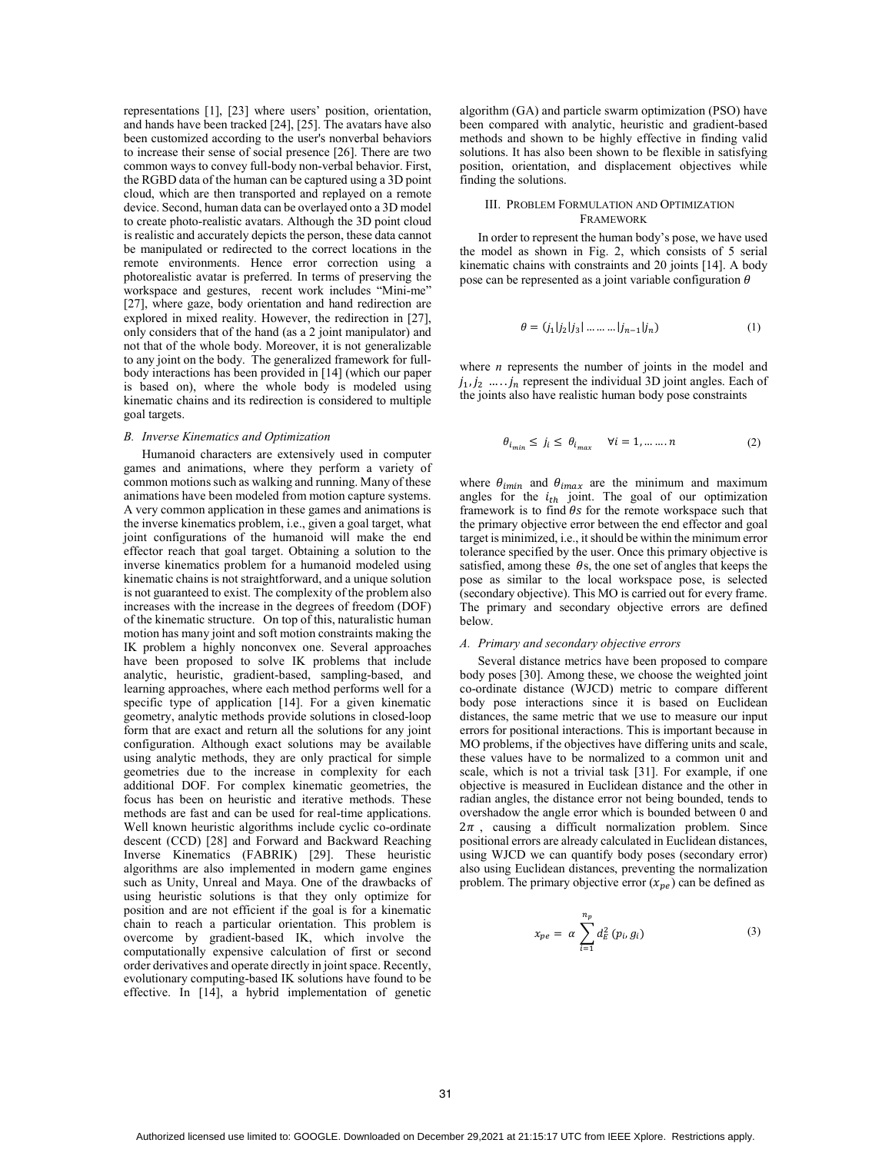representations [1], [23] where users' position, orientation, and hands have been tracked [24], [25]. The avatars have also been customized according to the user's nonverbal behaviors to increase their sense of social presence [26]. There are two common ways to convey full-body non-verbal behavior. First, the RGBD data of the human can be captured using a 3D point cloud, which are then transported and replayed on a remote device. Second, human data can be overlayed onto a 3D model to create photo-realistic avatars. Although the 3D point cloud is realistic and accurately depicts the person, these data cannot be manipulated or redirected to the correct locations in the remote environments. Hence error correction using a photorealistic avatar is preferred. In terms of preserving the workspace and gestures, recent work includes "Mini-me" [27], where gaze, body orientation and hand redirection are explored in mixed reality. However, the redirection in [27], only considers that of the hand (as a 2 joint manipulator) and not that of the whole body. Moreover, it is not generalizable to any joint on the body. The generalized framework for fullbody interactions has been provided in [14] (which our paper is based on), where the whole body is modeled using kinematic chains and its redirection is considered to multiple goal targets.

## *B. Inverse Kinematics and Optimization*

Humanoid characters are extensively used in computer games and animations, where they perform a variety of common motions such as walking and running. Many of these animations have been modeled from motion capture systems. A very common application in these games and animations is the inverse kinematics problem, i.e., given a goal target, what joint configurations of the humanoid will make the end effector reach that goal target. Obtaining a solution to the inverse kinematics problem for a humanoid modeled using kinematic chains is not straightforward, and a unique solution is not guaranteed to exist. The complexity of the problem also increases with the increase in the degrees of freedom (DOF) of the kinematic structure. On top of this, naturalistic human motion has many joint and soft motion constraints making the IK problem a highly nonconvex one. Several approaches have been proposed to solve IK problems that include analytic, heuristic, gradient-based, sampling-based, and learning approaches, where each method performs well for a specific type of application [14]. For a given kinematic geometry, analytic methods provide solutions in closed-loop form that are exact and return all the solutions for any joint configuration. Although exact solutions may be available using analytic methods, they are only practical for simple geometries due to the increase in complexity for each additional DOF. For complex kinematic geometries, the focus has been on heuristic and iterative methods. These methods are fast and can be used for real-time applications. Well known heuristic algorithms include cyclic co-ordinate descent (CCD) [28] and Forward and Backward Reaching Inverse Kinematics (FABRIK) [29]. These heuristic algorithms are also implemented in modern game engines such as Unity, Unreal and Maya. One of the drawbacks of using heuristic solutions is that they only optimize for position and are not efficient if the goal is for a kinematic chain to reach a particular orientation. This problem is overcome by gradient-based IK, which involve the computationally expensive calculation of first or second order derivatives and operate directly in joint space. Recently, evolutionary computing-based IK solutions have found to be effective. In [14], a hybrid implementation of genetic

algorithm (GA) and particle swarm optimization (PSO) have been compared with analytic, heuristic and gradient-based methods and shown to be highly effective in finding valid solutions. It has also been shown to be flexible in satisfying position, orientation, and displacement objectives while finding the solutions.

# III. PROBLEM FORMULATION AND OPTIMIZATION **FRAMEWORK**

In order to represent the human body's pose, we have used the model as shown in Fig. 2, which consists of 5 serial kinematic chains with constraints and 20 joints [14]. A body pose can be represented as a joint variable configuration  $\theta$ 

$$
\theta = (j_1 | j_2 | j_3 | \dots | j_{n-1} | j_n)
$$
 (1)

where *n* represents the number of joints in the model and  $j_1, j_2, \ldots, j_n$  represent the individual 3D joint angles. Each of the joints also have realistic human body pose constraints

$$
\theta_{i_{min}} \le j_i \le \theta_{i_{max}} \quad \forall i = 1, \dots \dots n \tag{2}
$$

where  $\theta_{imin}$  and  $\theta_{imax}$  are the minimum and maximum angles for the  $i_{th}$  joint. The goal of our optimization framework is to find  $\theta s$  for the remote workspace such that the primary objective error between the end effector and goal target is minimized, i.e., it should be within the minimum error tolerance specified by the user. Once this primary objective is satisfied, among these  $\theta$ s, the one set of angles that keeps the pose as similar to the local workspace pose, is selected (secondary objective). This MO is carried out for every frame. The primary and secondary objective errors are defined below.

## *A. Primary and secondary objective errors*

Several distance metrics have been proposed to compare body poses [30]. Among these, we choose the weighted joint co-ordinate distance (WJCD) metric to compare different body pose interactions since it is based on Euclidean distances, the same metric that we use to measure our input errors for positional interactions. This is important because in MO problems, if the objectives have differing units and scale, these values have to be normalized to a common unit and scale, which is not a trivial task [31]. For example, if one objective is measured in Euclidean distance and the other in radian angles, the distance error not being bounded, tends to overshadow the angle error which is bounded between 0 and  $2\pi$ , causing a difficult normalization problem. Since positional errors are already calculated in Euclidean distances, using WJCD we can quantify body poses (secondary error) also using Euclidean distances, preventing the normalization problem. The primary objective error  $(x_{ne})$  can be defined as

$$
x_{pe} = \alpha \sum_{i=1}^{n_p} d_E^2(p_i, g_i)
$$
 (3)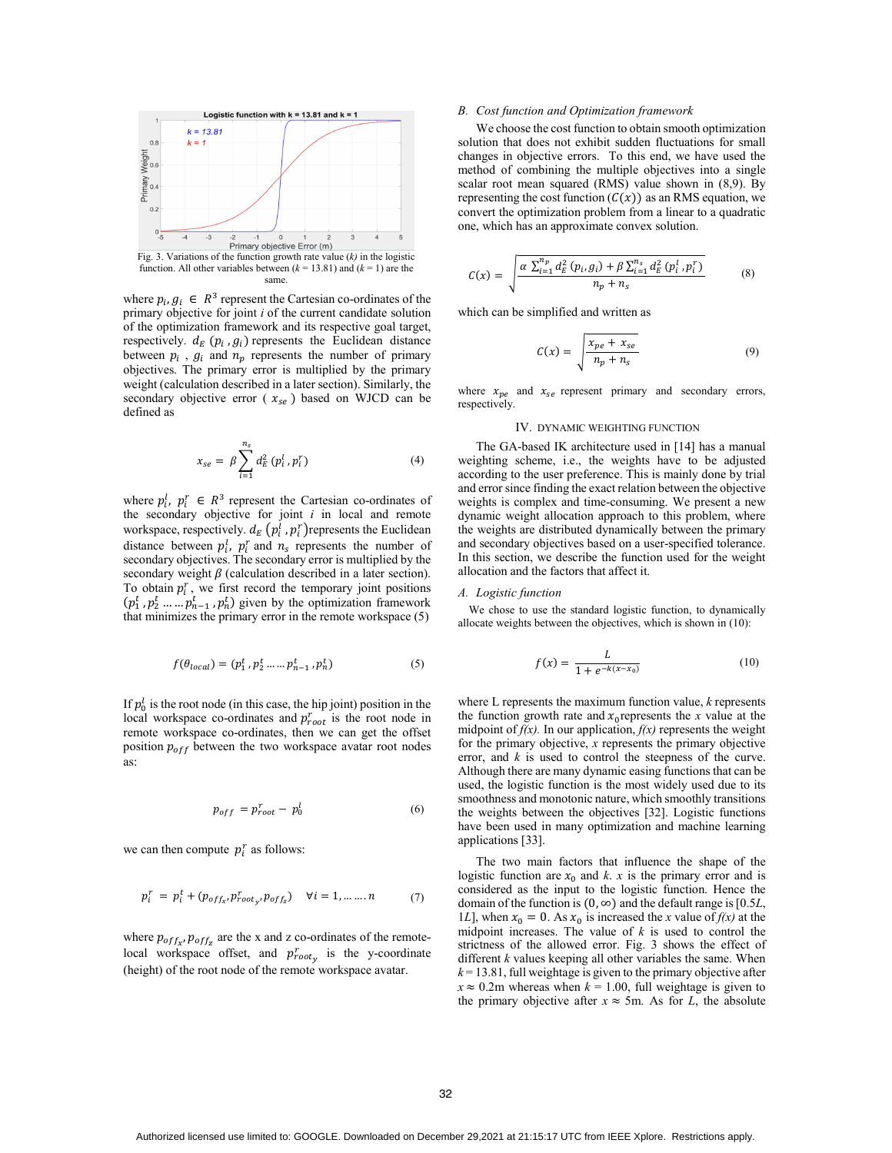

where  $p_i, g_i \in R^3$  represent the Cartesian co-ordinates of the primary objective for joint *i* of the current candidate solution of the optimization framework and its respective goal target, respectively.  $d_E(p_i, g_i)$  represents the Euclidean distance between  $p_i$ ,  $g_i$  and  $n_p$  represents the number of primary objectives. The primary error is multiplied by the primary weight (calculation described in a later section). Similarly, the secondary objective error ( $x_{se}$ ) based on WJCD can be defined as

$$
x_{se} = \beta \sum_{i=1}^{n_s} d_E^2 (p_i^l, p_i^r)
$$
 (4)

where  $p_i^t$ ,  $p_i^r \in R^3$  represent the Cartesian co-ordinates of the secondary objective for joint *i* in local and remote workspace, respectively.  $d_E(p_i^l, p_i^r)$  represents the Euclidean distance between  $p_i^l$ ,  $p_i^r$  and  $n_s$  represents the number of secondary objectives. The secondary error is multiplied by the secondary weight  $\beta$  (calculation described in a later section). To obtain  $p_i^r$ , we first record the temporary joint positions  $(p_1^t, p_2^t, \dots, p_{n-1}^t, p_n^t)$  given by the optimization framework that minimizes the primary error in the remote workspace (5)

$$
f(\theta_{local}) = (p_1^t, p_2^t \dots p_{n-1}^t, p_n^t) \tag{5}
$$

If  $p_0^l$  is the root node (in this case, the hip joint) position in the local workspace co-ordinates and  $p_{root}^r$  is the root node in remote workspace co-ordinates, then we can get the offset position  $p_{off}$  between the two workspace avatar root nodes as:

$$
p_{off} = p_{root}^r - p_0^l \tag{6}
$$

we can then compute  $p_i^r$  as follows:

$$
p_i^r = p_i^t + (p_{off_{x'}} p_{root_{y'}}^r, p_{off_{z}}^r) \quad \forall i = 1, \dots \dots n \tag{7}
$$

where  $p_{off_{x}}$ ,  $p_{off_{z}}$  are the x and z co-ordinates of the remotelocal workspace offset, and  $p_{root_y}^r$  is the y-coordinate (height) of the root node of the remote workspace avatar.

#### *B. Cost function and Optimization framework*

We choose the cost function to obtain smooth optimization solution that does not exhibit sudden fluctuations for small changes in objective errors. To this end, we have used the method of combining the multiple objectives into a single scalar root mean squared (RMS) value shown in (8,9). By representing the cost function  $(C(x))$  as an RMS equation, we convert the optimization problem from a linear to a quadratic one, which has an approximate convex solution.

$$
C(x) = \sqrt{\frac{\alpha \sum_{i=1}^{n_p} d_E^2 (p_i, g_i) + \beta \sum_{i=1}^{n_s} d_E^2 (p_i^1, p_i^T)}{n_p + n_s}}
$$
(8)

which can be simplified and written as

$$
C(x) = \sqrt{\frac{x_{pe} + x_{se}}{n_p + n_s}}\tag{9}
$$

where  $x_{pe}$  and  $x_{se}$  represent primary and secondary errors, respectively.

# IV. DYNAMIC WEIGHTING FUNCTION

The GA-based IK architecture used in [14] has a manual weighting scheme, i.e., the weights have to be adjusted according to the user preference. This is mainly done by trial and error since finding the exact relation between the objective weights is complex and time-consuming. We present a new dynamic weight allocation approach to this problem, where the weights are distributed dynamically between the primary and secondary objectives based on a user-specified tolerance. In this section, we describe the function used for the weight allocation and the factors that affect it.

# *A. Logistic function*

We chose to use the standard logistic function, to dynamically allocate weights between the objectives, which is shown in (10):

$$
f(x) = \frac{L}{1 + e^{-k(x - x_0)}}
$$
 (10)

where L represents the maximum function value, *k* represents the function growth rate and  $x_0$  represents the *x* value at the midpoint of  $f(x)$ . In our application,  $f(x)$  represents the weight for the primary objective, *x* represents the primary objective error, and *k* is used to control the steepness of the curve. Although there are many dynamic easing functions that can be used, the logistic function is the most widely used due to its smoothness and monotonic nature, which smoothly transitions the weights between the objectives [32]. Logistic functions have been used in many optimization and machine learning applications [33].

The two main factors that influence the shape of the logistic function are  $x_0$  and *k*. *x* is the primary error and is considered as the input to the logistic function. Hence the domain of the function is  $(0, \infty)$  and the default range is [0.5*L*, 1*L*], when  $x_0 = 0$ . As  $x_0$  is increased the *x* value of  $f(x)$  at the midpoint increases. The value of *k* is used to control the strictness of the allowed error. Fig. 3 shows the effect of different *k* values keeping all other variables the same. When  $k = 13.81$ , full weightage is given to the primary objective after  $x \approx 0.2$ m whereas when  $k = 1.00$ , full weightage is given to the primary objective after  $x \approx 5$ m. As for *L*, the absolute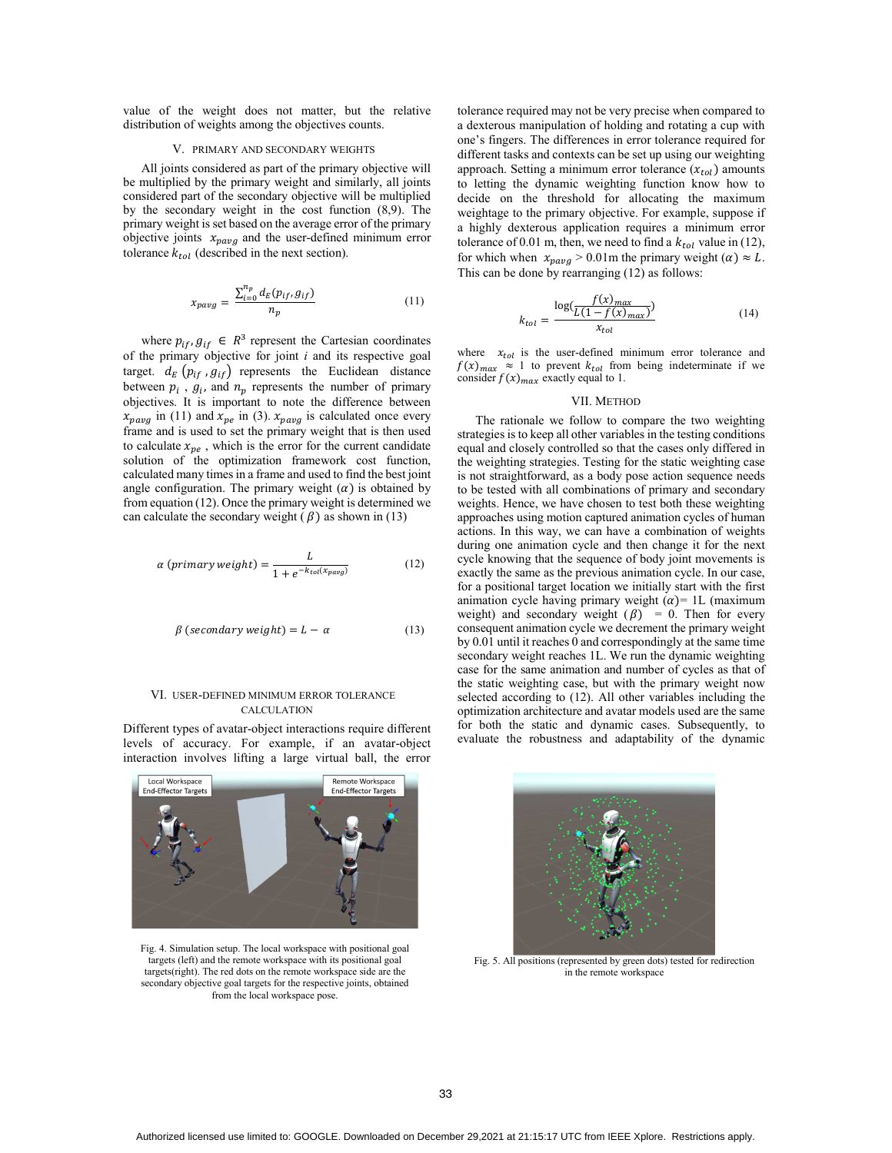value of the weight does not matter, but the relative distribution of weights among the objectives counts.

# V. PRIMARY AND SECONDARY WEIGHTS

All joints considered as part of the primary objective will be multiplied by the primary weight and similarly, all joints considered part of the secondary objective will be multiplied by the secondary weight in the cost function (8,9). The primary weight is set based on the average error of the primary objective joints  $x_{pavg}$  and the user-defined minimum error tolerance  $k_{tol}$  (described in the next section).

$$
x_{pavg} = \frac{\sum_{i=0}^{n_p} d_E(p_{if}, g_{if})}{n_p} \tag{11}
$$

where  $p_{if}$ ,  $g_{if} \in R^3$  represent the Cartesian coordinates of the primary objective for joint *i* and its respective goal target.  $d_E(p_{if}, g_{if})$  represents the Euclidean distance between  $p_i$ ,  $g_i$ , and  $n_p$  represents the number of primary objectives. It is important to note the difference between  $x_{pavg}$  in (11) and  $x_{pe}$  in (3).  $x_{pavg}$  is calculated once every frame and is used to set the primary weight that is then used to calculate  $x_{ne}$ , which is the error for the current candidate solution of the optimization framework cost function, calculated many times in a frame and used to find the best joint angle configuration. The primary weight  $(\alpha)$  is obtained by from equation (12). Once the primary weight is determined we can calculate the secondary weight  $(\beta)$  as shown in (13)

$$
\alpha\left(primary\,weight\right) = \frac{L}{1 + e^{-k_{tol}(x_{pavg})}}\tag{12}
$$

$$
\beta \text{ (secondary weight)} = L - \alpha \tag{13}
$$

# VI. USER-DEFINED MINIMUM ERROR TOLERANCE CALCULATION

Different types of avatar-object interactions require different levels of accuracy. For example, if an avatar-object interaction involves lifting a large virtual ball, the error



Fig. 4. Simulation setup. The local workspace with positional goal targets (left) and the remote workspace with its positional goal targets(right). The red dots on the remote workspace side are the secondary objective goal targets for the respective joints, obtained from the local workspace pose.

tolerance required may not be very precise when compared to a dexterous manipulation of holding and rotating a cup with one's fingers. The differences in error tolerance required for different tasks and contexts can be set up using our weighting approach. Setting a minimum error tolerance  $(x_{tol})$  amounts to letting the dynamic weighting function know how to decide on the threshold for allocating the maximum weightage to the primary objective. For example, suppose if a highly dexterous application requires a minimum error tolerance of 0.01 m, then, we need to find a  $k_{tol}$  value in (12), for which when  $x_{pavg} > 0.01$ m the primary weight ( $\alpha$ )  $\approx L$ . This can be done by rearranging (12) as follows:

$$
k_{tol} = \frac{\log(\frac{f(x)_{max}}{L(1 - f(x)_{max})})}{x_{tol}} \tag{14}
$$

where  $x_{tol}$  is the user-defined minimum error tolerance and  $f(x)_{max} \approx 1$  to prevent  $k_{tol}$  from being indeterminate if we consider  $f(x)_{max}$  exactly equal to 1.

#### VII. METHOD

The rationale we follow to compare the two weighting strategies is to keep all other variables in the testing conditions equal and closely controlled so that the cases only differed in the weighting strategies. Testing for the static weighting case is not straightforward, as a body pose action sequence needs to be tested with all combinations of primary and secondary weights. Hence, we have chosen to test both these weighting approaches using motion captured animation cycles of human actions. In this way, we can have a combination of weights during one animation cycle and then change it for the next cycle knowing that the sequence of body joint movements is exactly the same as the previous animation cycle. In our case, for a positional target location we initially start with the first animation cycle having primary weight  $(\alpha)$ = 1L (maximum weight) and secondary weight  $(\beta)$  = 0. Then for every consequent animation cycle we decrement the primary weight by 0.01 until it reaches 0 and correspondingly at the same time secondary weight reaches 1L. We run the dynamic weighting case for the same animation and number of cycles as that of the static weighting case, but with the primary weight now selected according to (12). All other variables including the optimization architecture and avatar models used are the same for both the static and dynamic cases. Subsequently, to evaluate the robustness and adaptability of the dynamic



Fig. 5. All positions (represented by green dots) tested for redirection in the remote workspace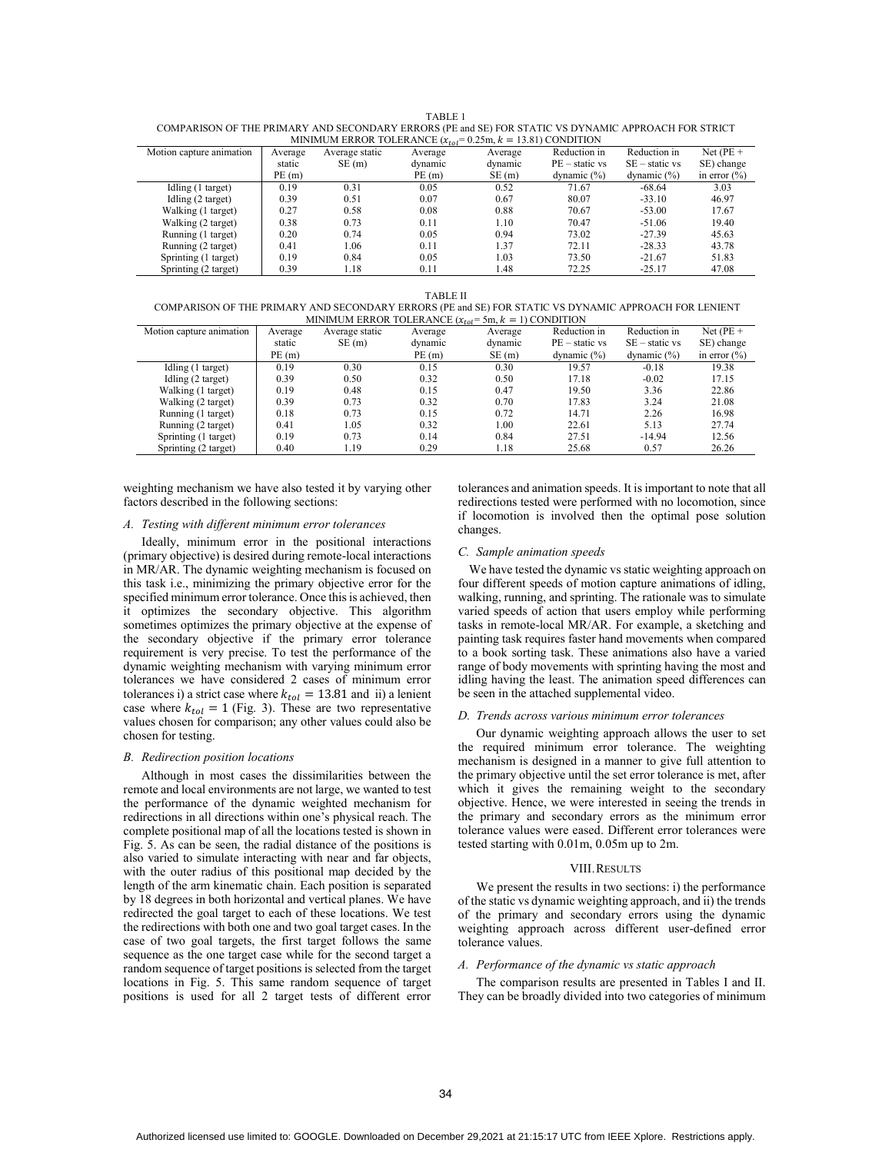TABLE 1

| COMPARISON OF THE PRIMARY AND SECONDARY ERRORS (PE and SE) FOR STATIC VS DYNAMIC APPROACH FOR STRICT |
|------------------------------------------------------------------------------------------------------|
| MINIMUM ERROR TOLERANCE $(x_{t_0}) = 0.25$ $k = 13.81$ CONDITION                                     |

| MINIMUM ERROR TOLERANCE $(x_{tol} = 0.25m, k = 13.81)$ CONDITION |         |                |         |         |                  |                  |                  |  |  |  |
|------------------------------------------------------------------|---------|----------------|---------|---------|------------------|------------------|------------------|--|--|--|
| Motion capture animation                                         | Average | Average static | Average | Average | Reduction in     | Reduction in     | Net $(PE +$      |  |  |  |
|                                                                  | static  | SE(m)          | dynamic | dynamic | $PE - static vs$ | $SE - static vs$ | SE) change       |  |  |  |
|                                                                  | PE(m)   |                | PE(m)   | SE(m)   | dynamic $(\%)$   | dynamic $(\% )$  | in error $(\% )$ |  |  |  |
| Idling (1 target)                                                | 0.19    | 0.31           | 0.05    | 0.52    | 71.67            | $-68.64$         | 3.03             |  |  |  |
| Idling $(2 \text{ target})$                                      | 0.39    | 0.51           | 0.07    | 0.67    | 80.07            | $-33.10$         | 46.97            |  |  |  |
| Walking (1 target)                                               | 0.27    | 0.58           | 0.08    | 0.88    | 70.67            | $-53.00$         | 17.67            |  |  |  |
| Walking (2 target)                                               | 0.38    | 0.73           | 0.11    | 1.10    | 70.47            | $-51.06$         | 19.40            |  |  |  |
| Running (1 target)                                               | 0.20    | 0.74           | 0.05    | 0.94    | 73.02            | $-27.39$         | 45.63            |  |  |  |
| Running (2 target)                                               | 0.41    | 1.06           | 0.11    | 1.37    | 72.11            | $-28.33$         | 43.78            |  |  |  |
| Sprinting (1 target)                                             | 0.19    | 0.84           | 0.05    | 1.03    | 73.50            | $-21.67$         | 51.83            |  |  |  |
| Sprinting (2 target)                                             | 0.39    | 1.18           | 0.11    | 1.48    | 72.25            | $-25.17$         | 47.08            |  |  |  |

TABLE II

 COMPARISON OF THE PRIMARY AND SECONDARY ERRORS (PE and SE) FOR STATIC VS DYNAMIC APPROACH FOR LENIENT MINIMUM ERROR TOLERANCE  $(x_{tol} = 5m, k = 1)$  CONDITION

| $\ldots$ $\ldots$ $\ldots$ $\ldots$ $\ldots$ $\ldots$ $\ldots$<br><br>. |         |                |         |         |                  |                  |                  |  |  |  |
|-------------------------------------------------------------------------|---------|----------------|---------|---------|------------------|------------------|------------------|--|--|--|
| Motion capture animation                                                | Average | Average static | Average | Average | Reduction in     | Reduction in     | Net $(PE +$      |  |  |  |
|                                                                         | static  | SE(m)          | dynamic | dynamic | $PE - static vs$ | $SE - static vs$ | SE) change       |  |  |  |
|                                                                         | PE(m)   |                | PE(m)   | SE(m)   | dynamic $(\%)$   | dynamic $(\%)$   | in error $(\% )$ |  |  |  |
| Idling (1 target)                                                       | 0.19    | 0.30           | 0.15    | 0.30    | 19.57            | $-0.18$          | 19.38            |  |  |  |
| Idling (2 target)                                                       | 0.39    | 0.50           | 0.32    | 0.50    | 17.18            | $-0.02$          | 17.15            |  |  |  |
| Walking (1 target)                                                      | 0.19    | 0.48           | 0.15    | 0.47    | 19.50            | 3.36             | 22.86            |  |  |  |
| Walking (2 target)                                                      | 0.39    | 0.73           | 0.32    | 0.70    | 17.83            | 3.24             | 21.08            |  |  |  |
| Running (1 target)                                                      | 0.18    | 0.73           | 0.15    | 0.72    | 14.71            | 2.26             | 16.98            |  |  |  |
| Running (2 target)                                                      | 0.41    | 1.05           | 0.32    | 1.00    | 22.61            | 5.13             | 27.74            |  |  |  |
| Sprinting (1 target)                                                    | 0.19    | 0.73           | 0.14    | 0.84    | 27.51            | $-14.94$         | 12.56            |  |  |  |
| Sprinting (2 target)                                                    | 0.40    | 1.19           | 0.29    | 1.18    | 25.68            | 0.57             | 26.26            |  |  |  |

weighting mechanism we have also tested it by varying other factors described in the following sections:

# *A. Testing with different minimum error tolerances*

Ideally, minimum error in the positional interactions (primary objective) is desired during remote-local interactions in MR/AR. The dynamic weighting mechanism is focused on this task i.e., minimizing the primary objective error for the specified minimum error tolerance. Once this is achieved, then it optimizes the secondary objective. This algorithm sometimes optimizes the primary objective at the expense of the secondary objective if the primary error tolerance requirement is very precise. To test the performance of the dynamic weighting mechanism with varying minimum error tolerances we have considered 2 cases of minimum error tolerances i) a strict case where  $k_{tol} = 13.81$  and ii) a lenient case where  $k_{tol} = 1$  (Fig. 3). These are two representative values chosen for comparison; any other values could also be chosen for testing.

# *B. Redirection position locations*

Although in most cases the dissimilarities between the remote and local environments are not large, we wanted to test the performance of the dynamic weighted mechanism for redirections in all directions within one's physical reach. The complete positional map of all the locations tested is shown in Fig. 5. As can be seen, the radial distance of the positions is also varied to simulate interacting with near and far objects, with the outer radius of this positional map decided by the length of the arm kinematic chain. Each position is separated by 18 degrees in both horizontal and vertical planes. We have redirected the goal target to each of these locations. We test the redirections with both one and two goal target cases. In the case of two goal targets, the first target follows the same sequence as the one target case while for the second target a random sequence of target positions is selected from the target locations in Fig. 5. This same random sequence of target positions is used for all 2 target tests of different error

tolerances and animation speeds. It is important to note that all redirections tested were performed with no locomotion, since if locomotion is involved then the optimal pose solution changes.

## *C. Sample animation speeds*

We have tested the dynamic vs static weighting approach on four different speeds of motion capture animations of idling, walking, running, and sprinting. The rationale was to simulate varied speeds of action that users employ while performing tasks in remote-local MR/AR. For example, a sketching and painting task requires faster hand movements when compared to a book sorting task. These animations also have a varied range of body movements with sprinting having the most and idling having the least. The animation speed differences can be seen in the attached supplemental video.

## *D. Trends across various minimum error tolerances*

Our dynamic weighting approach allows the user to set the required minimum error tolerance. The weighting mechanism is designed in a manner to give full attention to the primary objective until the set error tolerance is met, after which it gives the remaining weight to the secondary objective. Hence, we were interested in seeing the trends in the primary and secondary errors as the minimum error tolerance values were eased. Different error tolerances were tested starting with 0.01m, 0.05m up to 2m.

## VIII.RESULTS

We present the results in two sections: i) the performance of the static vs dynamic weighting approach, and ii) the trends of the primary and secondary errors using the dynamic weighting approach across different user-defined error tolerance values.

# *A. Performance of the dynamic vs static approach*

The comparison results are presented in Tables I and II. They can be broadly divided into two categories of minimum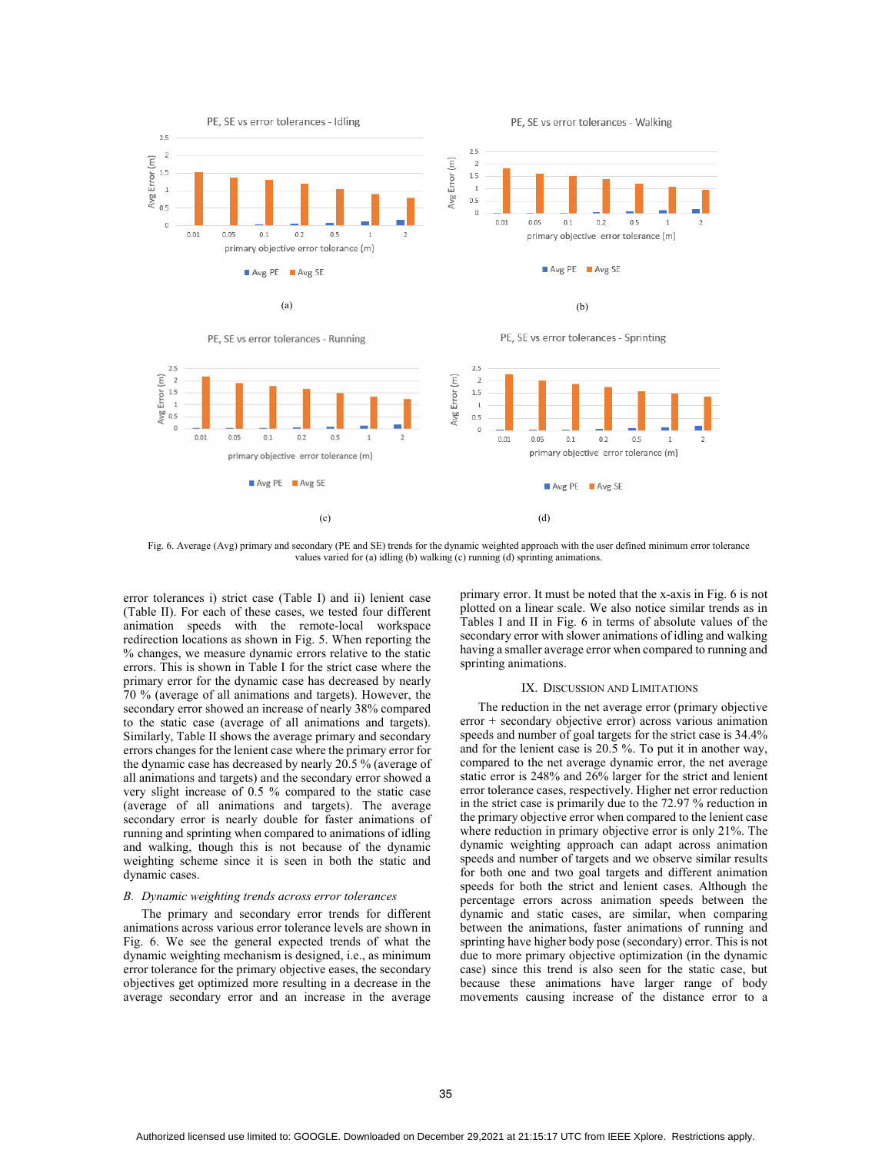



Fig. 6. Average (Avg) primary and secondary (PE and SE) trends for the dynamic weighted approach with the user defined minimum error tolerance values varied for (a) idling (b) walking (c) running (d) sprinting animations.

error tolerances i) strict case (Table I) and ii) lenient case (Table II). For each of these cases, we tested four different animation speeds with the remote-local workspace redirection locations as shown in Fig. 5. When reporting the % changes, we measure dynamic errors relative to the static errors. This is shown in Table I for the strict case where the primary error for the dynamic case has decreased by nearly 70 % (average of all animations and targets). However, the secondary error showed an increase of nearly 38% compared to the static case (average of all animations and targets). Similarly, Table II shows the average primary and secondary errors changes for the lenient case where the primary error for the dynamic case has decreased by nearly 20.5 % (average of all animations and targets) and the secondary error showed a very slight increase of 0.5 % compared to the static case (average of all animations and targets). The average secondary error is nearly double for faster animations of running and sprinting when compared to animations of idling and walking, though this is not because of the dynamic weighting scheme since it is seen in both the static and dynamic cases.

## *B. Dynamic weighting trends across error tolerances*

The primary and secondary error trends for different animations across various error tolerance levels are shown in Fig. 6. We see the general expected trends of what the dynamic weighting mechanism is designed, i.e., as minimum error tolerance for the primary objective eases, the secondary objectives get optimized more resulting in a decrease in the average secondary error and an increase in the average

primary error. It must be noted that the x-axis in Fig. 6 is not plotted on a linear scale. We also notice similar trends as in Tables I and II in Fig. 6 in terms of absolute values of the secondary error with slower animations of idling and walking having a smaller average error when compared to running and sprinting animations.

# IX. DISCUSSION AND LIMITATIONS

The reduction in the net average error (primary objective error + secondary objective error) across various animation speeds and number of goal targets for the strict case is 34.4% and for the lenient case is 20.5 %. To put it in another way, compared to the net average dynamic error, the net average static error is 248% and 26% larger for the strict and lenient error tolerance cases, respectively. Higher net error reduction in the strict case is primarily due to the 72.97 % reduction in the primary objective error when compared to the lenient case where reduction in primary objective error is only 21%. The dynamic weighting approach can adapt across animation speeds and number of targets and we observe similar results for both one and two goal targets and different animation speeds for both the strict and lenient cases. Although the percentage errors across animation speeds between the dynamic and static cases, are similar, when comparing between the animations, faster animations of running and sprinting have higher body pose (secondary) error. This is not due to more primary objective optimization (in the dynamic case) since this trend is also seen for the static case, but because these animations have larger range of body movements causing increase of the distance error to a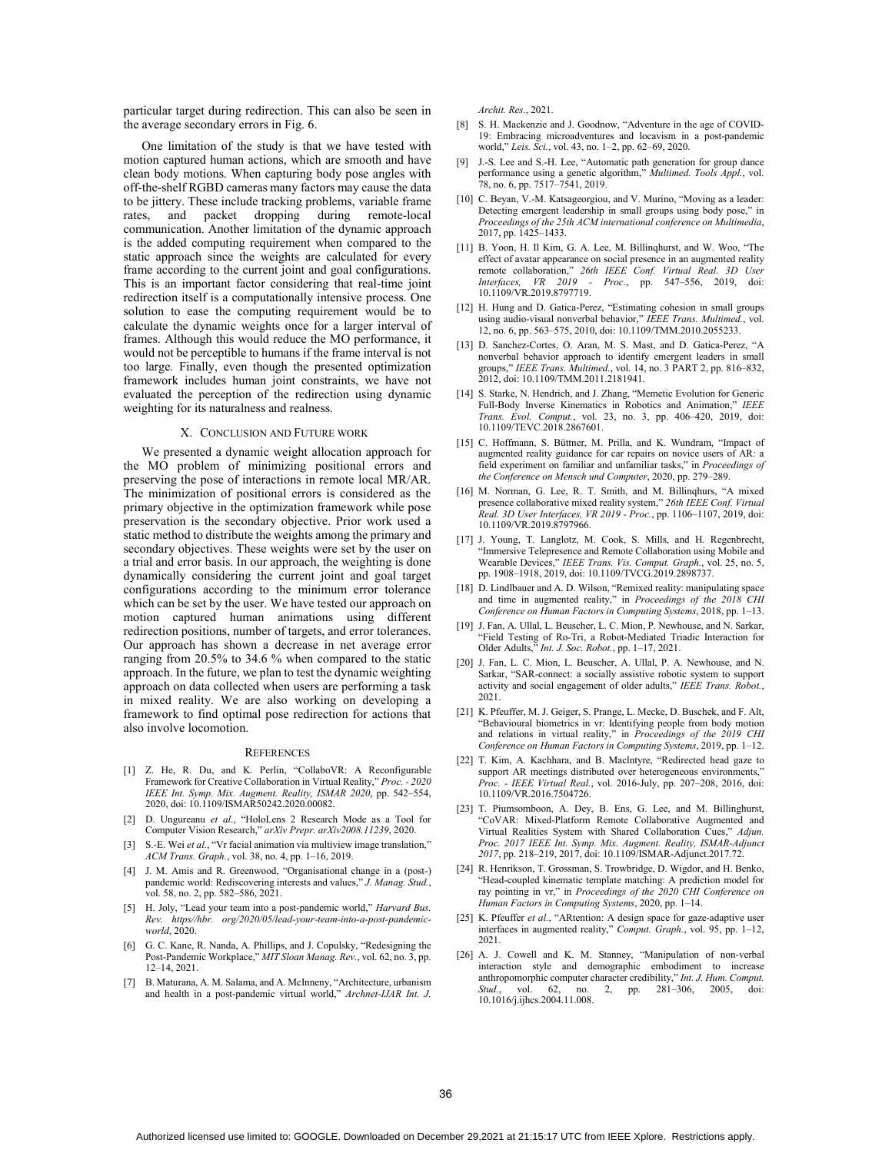particular target during redirection. This can also be seen in the average secondary errors in Fig. 6.

One limitation of the study is that we have tested with motion captured human actions, which are smooth and have clean body motions. When capturing body pose angles with off-the-shelf RGBD cameras many factors may cause the data to be jittery. These include tracking problems, variable frame rates, and packet dropping during remote-local communication. Another limitation of the dynamic approach is the added computing requirement when compared to the static approach since the weights are calculated for every frame according to the current joint and goal configurations. This is an important factor considering that real-time joint redirection itself is a computationally intensive process. One solution to ease the computing requirement would be to calculate the dynamic weights once for a larger interval of frames. Although this would reduce the MO performance, it would not be perceptible to humans if the frame interval is not too large. Finally, even though the presented optimization framework includes human joint constraints, we have not evaluated the perception of the redirection using dynamic weighting for its naturalness and realness.

# X. CONCLUSION AND FUTURE WORK

We presented a dynamic weight allocation approach for the MO problem of minimizing positional errors and preserving the pose of interactions in remote local MR/AR. The minimization of positional errors is considered as the primary objective in the optimization framework while pose preservation is the secondary objective. Prior work used a static method to distribute the weights among the primary and secondary objectives. These weights were set by the user on a trial and error basis. In our approach, the weighting is done dynamically considering the current joint and goal target configurations according to the minimum error tolerance which can be set by the user. We have tested our approach on motion captured human animations using different redirection positions, number of targets, and error tolerances. Our approach has shown a decrease in net average error ranging from 20.5% to 34.6 % when compared to the static approach. In the future, we plan to test the dynamic weighting approach on data collected when users are performing a task in mixed reality. We are also working on developing a framework to find optimal pose redirection for actions that also involve locomotion.

#### **REFERENCES**

- [1] Z. He, R. Du, and K. Perlin, "CollaboVR: A Reconfigurable Framework for Creative Collaboration in Virtual Reality," *Proc. - 2020 IEEE Int. Symp. Mix. Augment. Reality, ISMAR 2020*, pp. 542–554, 2020, doi: 10.1109/ISMAR50242.2020.00082.
- [2] D. Ungureanu *et al.*, "HoloLens 2 Research Mode as a Tool for Computer Vision Research," *arXiv Prepr. arXiv2008.11239*, 2020.
- [3] S.-E. Wei *et al.*, "Vr facial animation via multiview image translation," *ACM Trans. Graph.*, vol. 38, no. 4, pp. 1–16, 2019.
- [4] J. M. Amis and R. Greenwood, "Organisational change in a (post-) pandemic world: Rediscovering interests and values," *J. Manag. Stud.*, vol. 58, no. 2, pp. 582–586, 2021.
- [5] H. Joly, "Lead your team into a post-pandemic world," *Harvard Bus. Rev. https//hbr. org/2020/05/lead-your-team-into-a-post-pandemicworld*, 2020.
- [6] G. C. Kane, R. Nanda, A. Phillips, and J. Copulsky, "Redesigning the Post-Pandemic Workplace," *MIT Sloan Manag. Rev.*, vol. 62, no. 3, pp. 12–14, 2021.
- [7] B. Maturana, A. M. Salama, and A. McInneny, "Architecture, urbanism" and health in a post-pandemic virtual world," *Archnet-IJAR Int. J.*

*Archit. Res.*, 2021.

- [8] S. H. Mackenzie and J. Goodnow, "Adventure in the age of COVID-19: Embracing microadventures and locavism in a post-pandemic world," *Leis. Sci.*, vol. 43, no. 1–2, pp. 62–69, 2020.
- [9] J.-S. Lee and S.-H. Lee, "Automatic path generation for group dance performance using a genetic algorithm," *Multimed. Tools Appl.*, vol. 78, no. 6, pp. 7517–7541, 2019.
- [10] C. Beyan, V.-M. Katsageorgiou, and V. Murino, "Moving as a leader: Detecting emergent leadership in small groups using body pose," in *Proceedings of the 25th ACM international conference on Multimedia*, 2017, pp. 1425–1433.
- [11] B. Yoon, H. Il Kim, G. A. Lee, M. Billinqhurst, and W. Woo, "The effect of avatar appearance on social presence in an augmented reality remote collaboration," *26th IEEE Conf. Virtual Real. 3D User Interfaces, VR 2019 - Proc.*, pp. 547–556, 2019, doi: 10.1109/VR.2019.8797719.
- [12] H. Hung and D. Gatica-Perez, "Estimating cohesion in small groups using audio-visual nonverbal behavior," *IEEE Trans. Multimed.*, vol. 12, no. 6, pp. 563–575, 2010, doi: 10.1109/TMM.2010.2055233.
- [13] D. Sanchez-Cortes, O. Aran, M. S. Mast, and D. Gatica-Perez, "A nonverbal behavior approach to identify emergent leaders in small groups," *IEEE Trans. Multimed.*, vol. 14, no. 3 PART 2, pp. 816–832, 2012, doi: 10.1109/TMM.2011.2181941.
- [14] S. Starke, N. Hendrich, and J. Zhang, "Memetic Evolution for Generic Full-Body Inverse Kinematics in Robotics and Animation," *IEEE Trans. Evol. Comput.*, vol. 23, no. 3, pp. 406–420, 2019, doi: 10.1109/TEVC.2018.2867601.
- [15] C. Hoffmann, S. Büttner, M. Prilla, and K. Wundram, "Impact of augmented reality guidance for car repairs on novice users of AR: a field experiment on familiar and unfamiliar tasks," in *Proceedings of the Conference on Mensch und Computer*, 2020, pp. 279–289.
- [16] M. Norman, G. Lee, R. T. Smith, and M. Billinqhurs, "A mixed presence collaborative mixed reality system," *26th IEEE Conf. Virtual Real. 3D User Interfaces, VR 2019 - Proc.*, pp. 1106–1107, 2019, doi: 10.1109/VR.2019.8797966.
- [17] J. Young, T. Langlotz, M. Cook, S. Mills, and H. Regenbrecht, "Immersive Telepresence and Remote Collaboration using Mobile and Wearable Devices," *IEEE Trans. Vis. Comput. Graph.*, vol. 25, no. 5, pp. 1908–1918, 2019, doi: 10.1109/TVCG.2019.2898737.
- [18] D. Lindlbauer and A. D. Wilson, "Remixed reality: manipulating space and time in augmented reality," in *Proceedings of the 2018 CHI Conference on Human Factors in Computing Systems*, 2018, pp. 1–13.
- [19] J. Fan, A. Ullal, L. Beuscher, L. C. Mion, P. Newhouse, and N. Sarkar, "Field Testing of Ro-Tri, a Robot-Mediated Triadic Interaction for Older Adults," *Int. J. Soc. Robot.*, pp. 1–17, 2021.
- [20] J. Fan, L. C. Mion, L. Beuscher, A. Ullal, P. A. Newhouse, and N. Sarkar, "SAR-connect: a socially assistive robotic system to support activity and social engagement of older adults," *IEEE Trans. Robot.*, 2021.
- [21] K. Pfeuffer, M. J. Geiger, S. Prange, L. Mecke, D. Buschek, and F. Alt, "Behavioural biometrics in vr: Identifying people from body motion and relations in virtual reality," in *Proceedings of the 2019 CHI Conference on Human Factors in Computing Systems*, 2019, pp. 1–12.
- [22] T. Kim, A. Kachhara, and B. Maclntyre, "Redirected head gaze to support AR meetings distributed over heterogeneous environments," *Proc. - IEEE Virtual Real.*, vol. 2016-July, pp. 207–208, 2016, doi: 10.1109/VR.2016.7504726.
- [23] T. Piumsomboon, A. Dey, B. Ens, G. Lee, and M. Billinghurst, "CoVAR: Mixed-Platform Remote Collaborative Augmented and Virtual Realities System with Shared Collaboration Cues," *Adjun. Proc. 2017 IEEE Int. Symp. Mix. Augment. Reality, ISMAR-Adjunct 2017*, pp. 218–219, 2017, doi: 10.1109/ISMAR-Adjunct.2017.72.
- [24] R. Henrikson, T. Grossman, S. Trowbridge, D. Wigdor, and H. Benko, "Head-coupled kinematic template matching: A prediction model for ray pointing in vr," in *Proceedings of the 2020 CHI Conference on Human Factors in Computing Systems*, 2020, pp. 1–14.
- [25] K. Pfeuffer *et al.*, "ARtention: A design space for gaze-adaptive user interfaces in augmented reality," *Comput. Graph.*, vol. 95, pp. 1–12, 2021.
- [26] A. J. Cowell and K. M. Stanney, "Manipulation of non-verbal interaction style and demographic embodiment to increase anthropomorphic computer character credibility," *Int. J. Hum. Comput. Stud.*, vol. 62, no. 2, pp. 281–306, 2005, doi: 10.1016/j.ijhcs.2004.11.008.